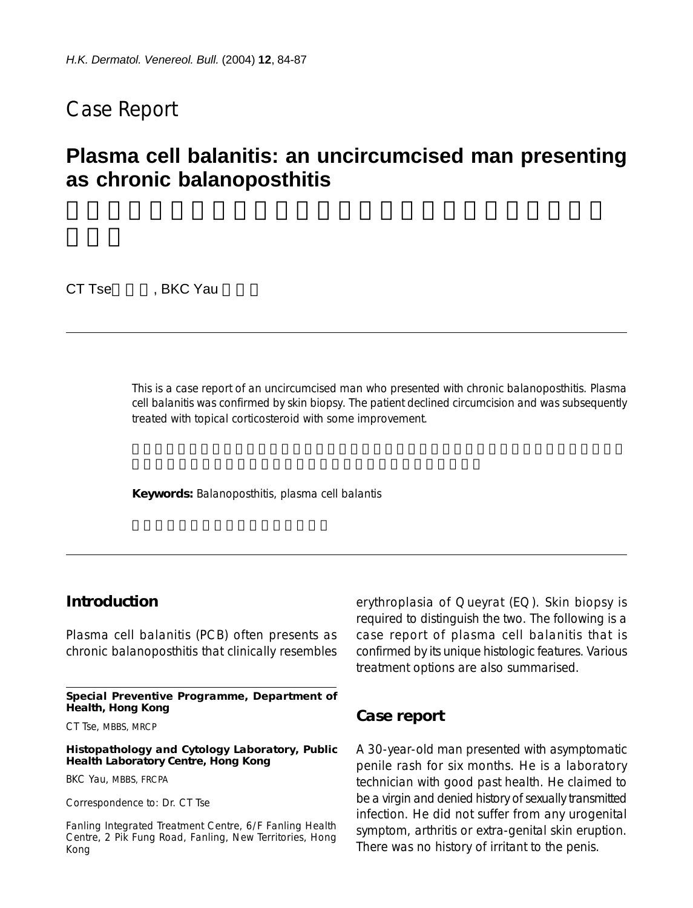## Case Report

# **Plasma cell balanitis: an uncircumcised man presenting as chronic balanoposthitis**

CT Tse , BKC Yau

This is a case report of an uncircumcised man who presented with chronic balanoposthitis. Plasma cell balanitis was confirmed by skin biopsy. The patient declined circumcision and was subsequently treated with topical corticosteroid with some improvement.

**Keywords:** Balanoposthitis, plasma cell balantis

### **Introduction**

Plasma cell balanitis (PCB) often presents as chronic balanoposthitis that clinically resembles

**Special Preventive Programme, Department of Health, Hong Kong**

CT Tse, MBBS, MRCP

**Histopathology and Cytology Laboratory, Public Health Laboratory Centre, Hong Kong**

BKC Yau, MBBS, FRCPA

Correspondence to: Dr. CT Tse

Fanling Integrated Treatment Centre, 6/F Fanling Health Centre, 2 Pik Fung Road, Fanling, New Territories, Hong Kong

erythroplasia of Queyrat (EQ). Skin biopsy is required to distinguish the two. The following is a case report of plasma cell balanitis that is confirmed by its unique histologic features. Various treatment options are also summarised.

#### **Case report**

A 30-year-old man presented with asymptomatic penile rash for six months. He is a laboratory technician with good past health. He claimed to be a virgin and denied history of sexually transmitted infection. He did not suffer from any urogenital symptom, arthritis or extra-genital skin eruption. There was no history of irritant to the penis.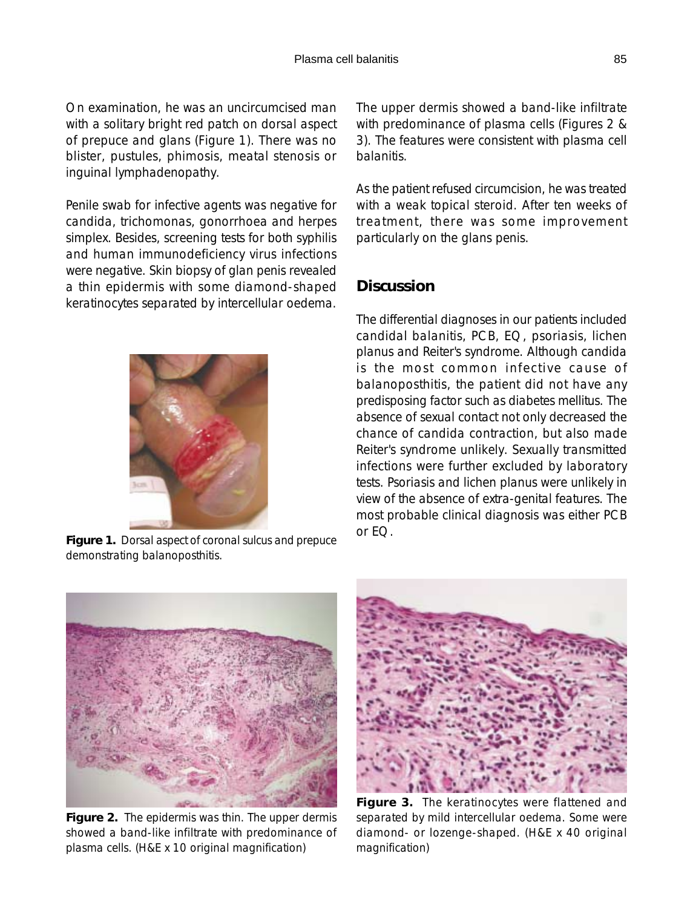On examination, he was an uncircumcised man with a solitary bright red patch on dorsal aspect of prepuce and glans (Figure 1). There was no blister, pustules, phimosis, meatal stenosis or inguinal lymphadenopathy.

Penile swab for infective agents was negative for candida, trichomonas, gonorrhoea and herpes simplex. Besides, screening tests for both syphilis and human immunodeficiency virus infections were negative. Skin biopsy of glan penis revealed a thin epidermis with some diamond-shaped keratinocytes separated by intercellular oedema.



**Figure 1.** Dorsal aspect of coronal sulcus and prepuce demonstrating balanoposthitis.

The upper dermis showed a band-like infiltrate with predominance of plasma cells (Figures 2 & 3). The features were consistent with plasma cell balanitis.

As the patient refused circumcision, he was treated with a weak topical steroid. After ten weeks of treatment, there was some improvement particularly on the glans penis.

## **Discussion**

The differential diagnoses in our patients included candidal balanitis, PCB, EQ, psoriasis, lichen planus and Reiter's syndrome. Although candida is the most common infective cause of balanoposthitis, the patient did not have any predisposing factor such as diabetes mellitus. The absence of sexual contact not only decreased the chance of candida contraction, but also made Reiter's syndrome unlikely. Sexually transmitted infections were further excluded by laboratory tests. Psoriasis and lichen planus were unlikely in view of the absence of extra-genital features. The most probable clinical diagnosis was either PCB or EQ.



**Figure 2.** The epidermis was thin. The upper dermis showed a band-like infiltrate with predominance of plasma cells. (H&E x 10 original magnification)



**Figure 3.** The keratinocytes were flattened and separated by mild intercellular oedema. Some were diamond- or lozenge-shaped. (H&E x 40 original magnification)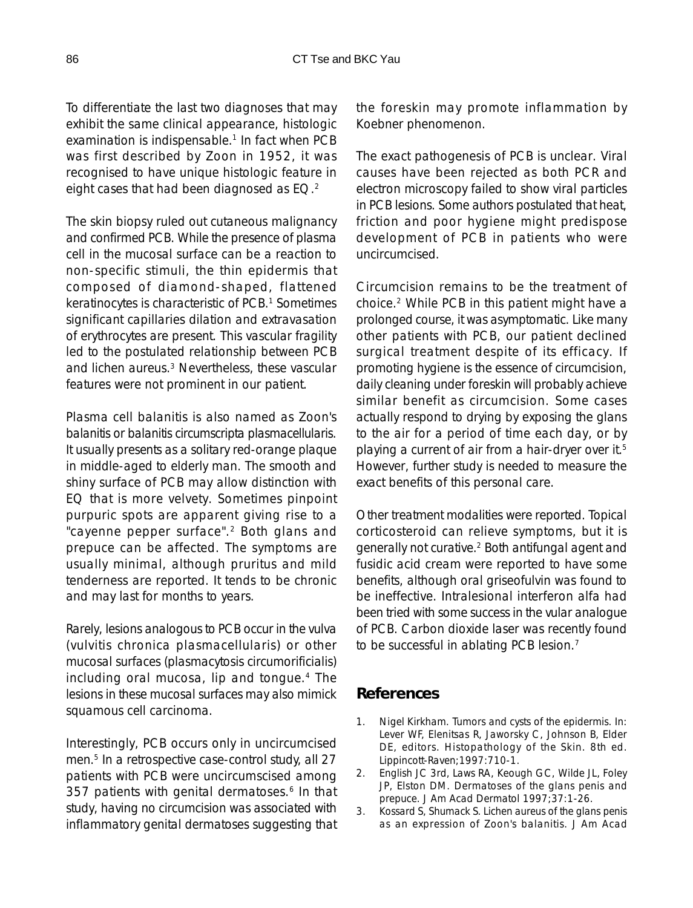To differentiate the last two diagnoses that may exhibit the same clinical appearance, histologic examination is indispensable.<sup>1</sup> In fact when PCB was first described by Zoon in 1952, it was recognised to have unique histologic feature in eight cases that had been diagnosed as EQ.<sup>2</sup>

The skin biopsy ruled out cutaneous malignancy and confirmed PCB. While the presence of plasma cell in the mucosal surface can be a reaction to non-specific stimuli, the thin epidermis that composed of diamond-shaped, flattened keratinocytes is characteristic of PCB.<sup>1</sup> Sometimes significant capillaries dilation and extravasation of erythrocytes are present. This vascular fragility led to the postulated relationship between PCB and lichen aureus.<sup>3</sup> Nevertheless, these vascular features were not prominent in our patient.

Plasma cell balanitis is also named as Zoon's balanitis or balanitis circumscripta plasmacellularis. It usually presents as a solitary red-orange plaque in middle-aged to elderly man. The smooth and shiny surface of PCB may allow distinction with EQ that is more velvety. Sometimes pinpoint purpuric spots are apparent giving rise to a "cayenne pepper surface".<sup>2</sup> Both glans and prepuce can be affected. The symptoms are usually minimal, although pruritus and mild tenderness are reported. It tends to be chronic and may last for months to years.

Rarely, lesions analogous to PCB occur in the vulva (vulvitis chronica plasmacellularis) or other mucosal surfaces (plasmacytosis circumorificialis) including oral mucosa, lip and tongue.<sup>4</sup> The lesions in these mucosal surfaces may also mimick squamous cell carcinoma.

Interestingly, PCB occurs only in uncircumcised men.<sup>5</sup> In a retrospective case-control study, all 27 patients with PCB were uncircumscised among 357 patients with genital dermatoses.<sup>6</sup> In that study, having no circumcision was associated with inflammatory genital dermatoses suggesting that the foreskin may promote inflammation by Koebner phenomenon.

The exact pathogenesis of PCB is unclear. Viral causes have been rejected as both PCR and electron microscopy failed to show viral particles in PCB lesions. Some authors postulated that heat, friction and poor hygiene might predispose development of PCB in patients who were uncircumcised.

Circumcision remains to be the treatment of choice.2 While PCB in this patient might have a prolonged course, it was asymptomatic. Like many other patients with PCB, our patient declined surgical treatment despite of its efficacy. If promoting hygiene is the essence of circumcision, daily cleaning under foreskin will probably achieve similar benefit as circumcision. Some cases actually respond to drying by exposing the glans to the air for a period of time each day, or by playing a current of air from a hair-dryer over it.<sup>5</sup> However, further study is needed to measure the exact benefits of this personal care.

Other treatment modalities were reported. Topical corticosteroid can relieve symptoms, but it is generally not curative.2 Both antifungal agent and fusidic acid cream were reported to have some benefits, although oral griseofulvin was found to be ineffective. Intralesional interferon alfa had been tried with some success in the vular analogue of PCB. Carbon dioxide laser was recently found to be successful in ablating PCB lesion.<sup>7</sup>

#### **References**

- 1. Nigel Kirkham. Tumors and cysts of the epidermis. In: Lever WF, Elenitsas R, Jaworsky C, Johnson B, Elder DE, editors. Histopathology of the Skin. 8th ed. Lippincott-Raven;1997:710-1.
- 2. English JC 3rd, Laws RA, Keough GC, Wilde JL, Foley JP, Elston DM. Dermatoses of the glans penis and prepuce. J Am Acad Dermatol 1997;37:1-26.
- 3. Kossard S, Shumack S. Lichen aureus of the glans penis as an expression of Zoon's balanitis. J Am Acad